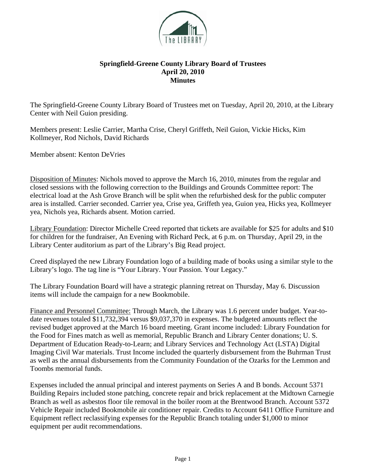

## **Springfield-Greene County Library Board of Trustees April 20, 2010 Minutes**

The Springfield-Greene County Library Board of Trustees met on Tuesday, April 20, 2010, at the Library Center with Neil Guion presiding.

Members present: Leslie Carrier, Martha Crise, Cheryl Griffeth, Neil Guion, Vickie Hicks, Kim Kollmeyer, Rod Nichols, David Richards

Member absent: Kenton DeVries

Disposition of Minutes: Nichols moved to approve the March 16, 2010, minutes from the regular and closed sessions with the following correction to the Buildings and Grounds Committee report: The electrical load at the Ash Grove Branch will be split when the refurbished desk for the public computer area is installed. Carrier seconded. Carrier yea, Crise yea, Griffeth yea, Guion yea, Hicks yea, Kollmeyer yea, Nichols yea, Richards absent. Motion carried.

Library Foundation: Director Michelle Creed reported that tickets are available for \$25 for adults and \$10 for children for the fundraiser, An Evening with Richard Peck, at 6 p.m. on Thursday, April 29, in the Library Center auditorium as part of the Library's Big Read project.

Creed displayed the new Library Foundation logo of a building made of books using a similar style to the Library's logo. The tag line is "Your Library. Your Passion. Your Legacy."

The Library Foundation Board will have a strategic planning retreat on Thursday, May 6. Discussion items will include the campaign for a new Bookmobile.

Finance and Personnel Committee: Through March, the Library was 1.6 percent under budget. Year-todate revenues totaled \$11,732,394 versus \$9,037,370 in expenses. The budgeted amounts reflect the revised budget approved at the March 16 board meeting. Grant income included: Library Foundation for the Food for Fines match as well as memorial, Republic Branch and Library Center donations; U. S. Department of Education Ready-to-Learn; and Library Services and Technology Act (LSTA) Digital Imaging Civil War materials. Trust Income included the quarterly disbursement from the Buhrman Trust as well as the annual disbursements from the Community Foundation of the Ozarks for the Lemmon and Toombs memorial funds.

Expenses included the annual principal and interest payments on Series A and B bonds. Account 5371 Building Repairs included stone patching, concrete repair and brick replacement at the Midtown Carnegie Branch as well as asbestos floor tile removal in the boiler room at the Brentwood Branch. Account 5372 Vehicle Repair included Bookmobile air conditioner repair. Credits to Account 6411 Office Furniture and Equipment reflect reclassifying expenses for the Republic Branch totaling under \$1,000 to minor equipment per audit recommendations.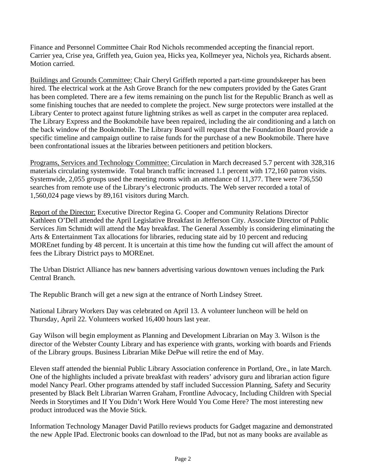Finance and Personnel Committee Chair Rod Nichols recommended accepting the financial report. Carrier yea, Crise yea, Griffeth yea, Guion yea, Hicks yea, Kollmeyer yea, Nichols yea, Richards absent. Motion carried.

Buildings and Grounds Committee: Chair Cheryl Griffeth reported a part-time groundskeeper has been hired. The electrical work at the Ash Grove Branch for the new computers provided by the Gates Grant has been completed. There are a few items remaining on the punch list for the Republic Branch as well as some finishing touches that are needed to complete the project. New surge protectors were installed at the Library Center to protect against future lightning strikes as well as carpet in the computer area replaced. The Library Express and the Bookmobile have been repaired, including the air conditioning and a latch on the back window of the Bookmobile. The Library Board will request that the Foundation Board provide a specific timeline and campaign outline to raise funds for the purchase of a new Bookmobile. There have been confrontational issues at the libraries between petitioners and petition blockers.

Programs, Services and Technology Committee: Circulation in March decreased 5.7 percent with 328,316 materials circulating systemwide. Total branch traffic increased 1.1 percent with 172,160 patron visits. Systemwide, 2,055 groups used the meeting rooms with an attendance of 11,377. There were 736,550 searches from remote use of the Library's electronic products. The Web server recorded a total of 1,560,024 page views by 89,161 visitors during March.

Report of the Director: Executive Director Regina G. Cooper and Community Relations Director Kathleen O'Dell attended the April Legislative Breakfast in Jefferson City. Associate Director of Public Services Jim Schmidt will attend the May breakfast. The General Assembly is considering eliminating the Arts & Entertainment Tax allocations for libraries, reducing state aid by 10 percent and reducing MOREnet funding by 48 percent. It is uncertain at this time how the funding cut will affect the amount of fees the Library District pays to MOREnet.

The Urban District Alliance has new banners advertising various downtown venues including the Park Central Branch.

The Republic Branch will get a new sign at the entrance of North Lindsey Street.

National Library Workers Day was celebrated on April 13. A volunteer luncheon will be held on Thursday, April 22. Volunteers worked 16,400 hours last year.

Gay Wilson will begin employment as Planning and Development Librarian on May 3. Wilson is the director of the Webster County Library and has experience with grants, working with boards and Friends of the Library groups. Business Librarian Mike DePue will retire the end of May.

Eleven staff attended the biennial Public Library Association conference in Portland, Ore., in late March. One of the highlights included a private breakfast with readers' advisory guru and librarian action figure model Nancy Pearl. Other programs attended by staff included Succession Planning, Safety and Security presented by Black Belt Librarian Warren Graham, Frontline Advocacy, Including Children with Special Needs in Storytimes and If You Didn't Work Here Would You Come Here? The most interesting new product introduced was the Movie Stick.

Information Technology Manager David Patillo reviews products for Gadget magazine and demonstrated the new Apple IPad. Electronic books can download to the IPad, but not as many books are available as